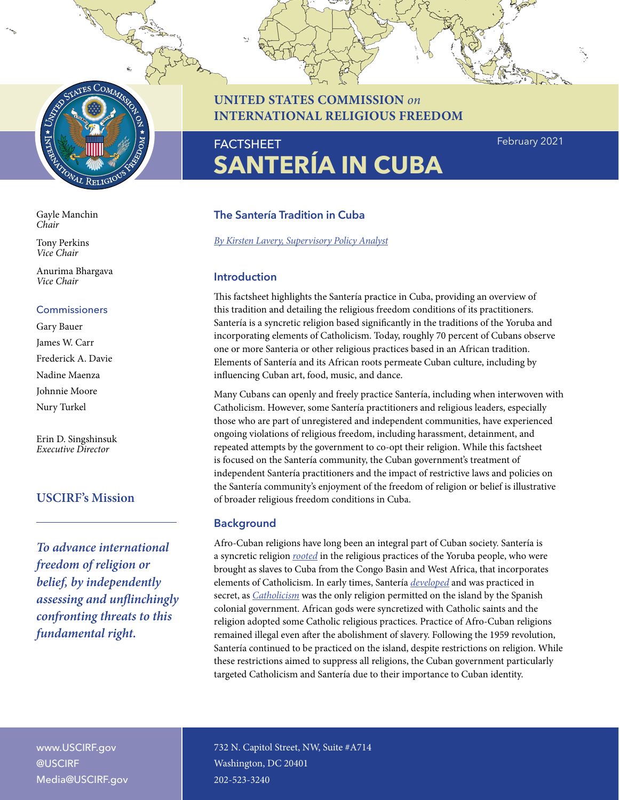

Gayle Manchin *Chair*

Tony Perkins *Vice Chair*

Anurima Bhargava *Vice Chair*

#### **Commissioners**

Gary Bauer James W. Carr Frederick A. Davie Nadine Maenza Johnnie Moore Nury Turkel

Erin D. Singshinsuk *Executive Director*

# **USCIRF's Mission**

*To advance international freedom of religion or belief, by independently assessing and unflinchingly confronting threats to this fundamental right.*

# **UNITED STATES COMMISSION** *on* **INTERNATIONAL RELIGIOUS FREEDOM**

# FACTSHEET **SANTERÍA IN CUBA**

February 2021

# **The Santería Tradition in Cuba**

*[By Kirsten Lavery, Supervisory Policy Analyst](https://www.uscirf.gov/about-uscirf/professional-staff#Kirsten)*

## **Introduction**

This factsheet highlights the Santería practice in Cuba, providing an overview of this tradition and detailing the religious freedom conditions of its practitioners. Santería is a syncretic religion based significantly in the traditions of the Yoruba and incorporating elements of Catholicism. Today, roughly 70 percent of Cubans observe one or more Santeria or other religious practices based in an African tradition. Elements of Santería and its African roots permeate Cuban culture, including by influencing Cuban art, food, music, and dance.

Many Cubans can openly and freely practice Santería, including when interwoven with Catholicism. However, some Santería practitioners and religious leaders, especially those who are part of unregistered and independent communities, have experienced ongoing violations of religious freedom, including harassment, detainment, and repeated attempts by the government to co-opt their religion. While this factsheet is focused on the Santería community, the Cuban government's treatment of independent Santería practitioners and the impact of restrictive laws and policies on the Santería community's enjoyment of the freedom of religion or belief is illustrative of broader religious freedom conditions in Cuba.

# **Background**

Afro-Cuban religions have long been an integral part of Cuban society. Santería is a syncretic religion *[rooted](https://www.theguardian.com/world/2015/sep/21/cuba-santeria-pope-francis-visit)* in the religious practices of the Yoruba people, who were brought as slaves to Cuba from the Congo Basin and West Africa, that incorporates elements of Catholicism. In early times, Santería *[developed](http://users.clas.ufl.edu/murray/courses/Cuba_Hispaniola_PR/Readings.on.line/Lefever.1996.saints.santeria.cuba.us.pdf)* and was practiced in secret, as *[Catholicism](https://scholar.harvard.edu/files/jill/files/goldenziel_sanctioning_faith_2009_1_1.pdf)* was the only religion permitted on the island by the Spanish colonial government. African gods were syncretized with Catholic saints and the religion adopted some Catholic religious practices. Practice of Afro-Cuban religions remained illegal even after the abolishment of slavery. Following the 1959 revolution, Santería continued to be practiced on the island, despite restrictions on religion. While these restrictions aimed to suppress all religions, the Cuban government particularly targeted Catholicism and Santería due to their importance to Cuban identity.

<www.USCIRF.gov> [@USCIRF](https://twitter.com/USCIRF?ref_src=twsrc%5Egoogle%7Ctwcamp%5Eserp%7Ctwgr%5Eauthor) [Media@USCIRF.gov](mailto:Media%40USCIRF.gov?subject=) 732 N. Capitol Street, NW, Suite #A714 Washington, DC 20401 202-523-3240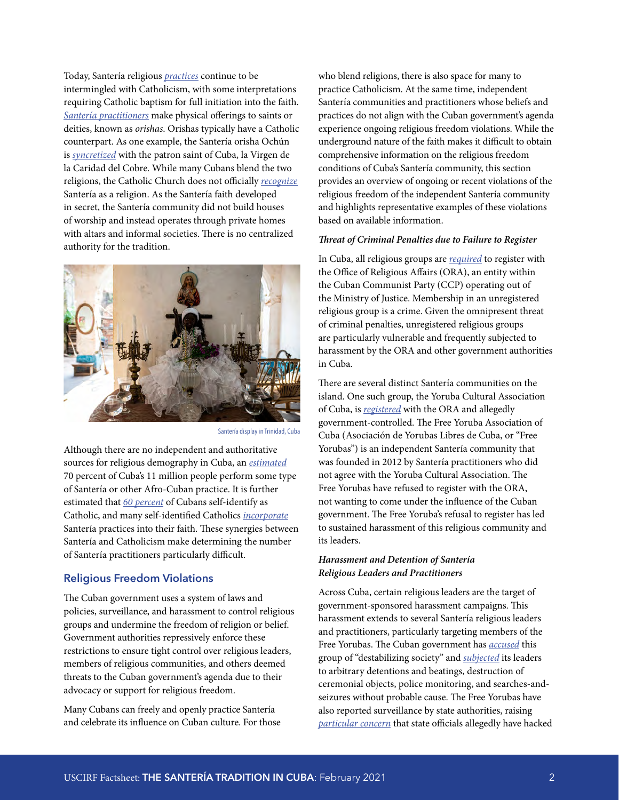Today, Santería religious *[practices](https://www.state.gov/reports/2019-report-on-international-religious-freedom/cuba/)* continue to be intermingled with Catholicism, with some interpretations requiring Catholic baptism for full initiation into the faith. *[Santería practitioners](https://thegroundtruthproject.org/cuba-santeria-catholicism-religion-flourish-two-decades-freedom-granted/)* make physical offerings to saints or deities, known as *orishas*. Orishas typically have a Catholic counterpart. As one example, the Santería orisha Ochún is *[syncretized](https://www.chicagotribune.com/espanol/sns-es-cubanos-celebran-a-sus-santas-pese-a-rebrote-de-covid-20200908-oql4jce5fnambhfww52b7owgfi-story.html)* with the patron saint of Cuba, la Virgen de la Caridad del Cobre. While many Cubans blend the two religions, the Catholic Church does not officially *[recognize](https://www.voanews.com/americas/pope-visits-afro-cuban-religion-hopes-recognition)* Santería as a religion. As the Santería faith developed in secret, the Santería community did not build houses of worship and instead operates through private homes with altars and informal societies. There is no centralized authority for the tradition.



Santería display in Trinidad, Cuba

Although there are no independent and authoritative sources for religious demography in Cuba, an *[estimated](https://www.chicagotribune.com/espanol/sns-es-cubanos-celebran-a-sus-santas-pese-a-rebrote-de-covid-20200908-oql4jce5fnambhfww52b7owgfi-story.html)* 70 percent of Cuba's 11 million people perform some type of Santería or other Afro-Cuban practice. It is further estimated that *[60 percent](https://www.state.gov/reports/2019-report-on-international-religious-freedom/cuba/)* of Cubans self-identify as Catholic, and many self-identified Catholics *[incorporate](https://www.wsj.com/articles/catholic-and-african-religious-traditions-meld-in-cuba-1442881959)* Santería practices into their faith. These synergies between Santería and Catholicism make determining the number of Santería practitioners particularly difficult.

#### **Religious Freedom Violations**

The Cuban government uses a system of laws and policies, surveillance, and harassment to control religious groups and undermine the freedom of religion or belief. Government authorities repressively enforce these restrictions to ensure tight control over religious leaders, members of religious communities, and others deemed threats to the Cuban government's agenda due to their advocacy or support for religious freedom.

Many Cubans can freely and openly practice Santería and celebrate its influence on Cuban culture. For those who blend religions, there is also space for many to practice Catholicism. At the same time, independent Santería communities and practitioners whose beliefs and practices do not align with the Cuban government's agenda experience ongoing religious freedom violations. While the underground nature of the faith makes it difficult to obtain comprehensive information on the religious freedom conditions of Cuba's Santería community, this section provides an overview of ongoing or recent violations of the religious freedom of the independent Santería community and highlights representative examples of these violations based on available information.

#### *Threat of Criminal Penalties due to Failure to Register*

In Cuba, all religious groups are *[required](https://www.csw.org.uk/2020/01/13/report/4519/article.htm)* to register with the Office of Religious Affairs (ORA), an entity within the Cuban Communist Party (CCP) operating out of the Ministry of Justice. Membership in an unregistered religious group is a crime. Given the omnipresent threat of criminal penalties, unregistered religious groups are particularly vulnerable and frequently subjected to harassment by the ORA and other government authorities in Cuba.

There are several distinct Santería communities on the island. One such group, the Yoruba Cultural Association of Cuba, is *[registered](https://www.state.gov/reports/2019-report-on-international-religious-freedom/cuba/)* with the ORA and allegedly government-controlled. The Free Yoruba Association of Cuba (Asociación de Yorubas Libres de Cuba, or "Free Yorubas") is an independent Santería community that was founded in 2012 by Santería practitioners who did not agree with the Yoruba Cultural Association. The Free Yorubas have refused to register with the ORA, not wanting to come under the influence of the Cuban government. The Free Yoruba's refusal to register has led to sustained harassment of this religious community and its leaders.

#### *Harassment and Detention of Santería Religious Leaders and Practitioners*

Across Cuba, certain religious leaders are the target of government-sponsored harassment campaigns. This harassment extends to several Santería religious leaders and practitioners, particularly targeting members of the Free Yorubas. The Cuban government has *[accused](https://www.state.gov/reports/2019-report-on-international-religious-freedom/cuba/)* this group of "destabilizing society" and *[subjected](https://www.globallibertyalliance.org/free-yorubas-of-cuba-regularly-attacked-for-faith.html)* its leaders to arbitrary detentions and beatings, destruction of ceremonial objects, police monitoring, and searches-andseizures without probable cause. The Free Yorubas have also reported surveillance by state authorities, raising *[particular concern](https://www.globallibertyalliance.org/gla-news/cubas-religious-police-continues-harassing-and-intimidating-the-association-of-free-yorubas-of-cuba6392844)* that state officials allegedly have hacked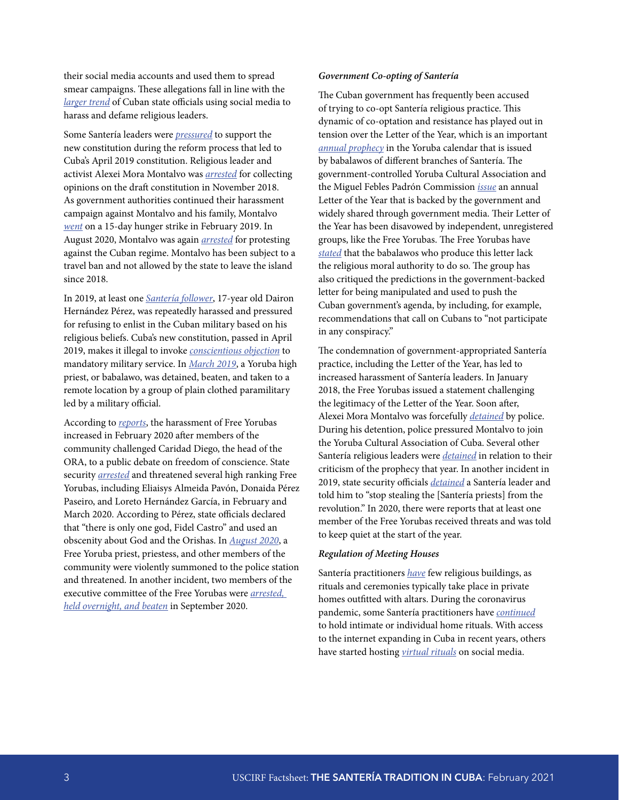their social media accounts and used them to spread smear campaigns. These allegations fall in line with the *[larger trend](https://www.csw.org.uk/2021/01/12/report/4940/article.htm)* of Cuban state officials using social media to harass and defame religious leaders.

Some Santería leaders were *[pressured](https://www.csw.org.uk/2019/02/15/press/4228/article.htm)* to support the new constitution during the reform process that led to Cuba's April 2019 constitution. Religious leader and activist Alexei Mora Montalvo was *[arrested](https://www.radiotelevisionmarti.com/a/detienen-a-sacerdote-yoruba-que-recog%C3%ADa-opiniones-sobre-proyecto-constitucional/221645.html)* for collecting opinions on the draft constitution in November 2018. As government authorities continued their harassment campaign against Montalvo and his family, Montalvo *[went](https://www.cibercuba.com/noticias/2019-01-29-u1-e199291-s27061-estado-critico-alexei-mora-montalvo-huelga-hambre-hace-15-dias)* on a 15-day hunger strike in February 2019. In August 2020, Montalvo was again *[arrested](https://www.radiotelevisionmarti.com/a/el-directorio-democr%C3%A1tico-cubano-se-solidariza-con-manifestantes-en-placetas-villa-clara/270017.html)* for protesting against the Cuban regime. Montalvo has been subject to a travel ban and not allowed by the state to leave the island since 2018.

In 2019, at least one *[Santería follower](https://www.state.gov/reports/2019-report-on-international-religious-freedom/cuba/)*, 17-year old Dairon Hernández Pérez, was repeatedly harassed and pressured for refusing to enlist in the Cuban military based on his religious beliefs. Cuba's new constitution, passed in April 2019, makes it illegal to invoke *[conscientious objection](https://www.uscirf.gov/sites/default/files/2020%20Legislation%20Factsheet%20-%20Conscientious%20Objection%20v3.pdf)* to mandatory military service. In *[March 2019](https://www.csw.org.uk/2020/01/13/report/4519/article.htm)*, a Yoruba high priest, or babalawo, was detained, beaten, and taken to a remote location by a group of plain clothed paramilitary led by a military official.

According to *[reports](https://www.globallibertyalliance.org/free-yorubas-of-cuba-regularly-attacked-for-faith.html)*, the harassment of Free Yorubas increased in February 2020 after members of the community challenged Caridad Diego, the head of the ORA, to a public debate on freedom of conscience. State security *[arrested](https://adncuba.com/noticias-de-cuba/actualidad/denuncian-arresto-cubanas-de-la-asociacion-de-yorubas-libres-de-cuba)* and threatened several high ranking Free Yorubas, including Eliaisys Almeida Pavón, Donaida Pérez Paseiro, and Loreto Hernández García, in February and March 2020. According to Pérez, state officials declared that "there is only one god, Fidel Castro" and used an obscenity about God and the Orishas. In *[August 2020](https://adncuba.com/noticias-de-cuba/actualidad/miembros-de-la-asociacion-de-yorubas-libres-de-cuba-son-citados-por-la?amp)*, a Free Yoruba priest, priestess, and other members of the community were violently summoned to the police station and threatened. In another incident, two members of the executive committee of the Free Yorubas were *[arrested,](https://adncuba.com/noticias-de-cuba/actualidad/denuncian-arresto-cubanas-de-la-asociacion-de-yorubas-libres-de-cuba) held overnight, and beaten* in September 2020.

#### *Government Co-opting of Santería*

The Cuban government has frequently been accused of trying to co-opt Santería religious practice. This dynamic of co-optation and resistance has played out in tension over the Letter of the Year, which is an important *[annual prophecy](https://www.radiotelevisionmarti.com/a/qu%C3%A9-predice-la-letra-del-a%C3%B1o-para-este-2020-/254828.html/)* in the Yoruba calendar that is issued by babalawos of different branches of Santería. The government-controlled Yoruba Cultural Association and the Miguel Febles Padrón Commission *[issue](https://oncubanews.com/en/cuba/letter-of-the-year-oshun-reigns-in-2020/)* an annual Letter of the Year that is backed by the government and widely shared through government media. Their Letter of the Year has been disavowed by independent, unregistered groups, like the Free Yorubas. The Free Yorubas have *[stated](https://www.14ymedio.com/nacional/Letra-Ano-desata-polemica-babalawos_0_2357764213.html)* that the babalawos who produce this letter lack the religious moral authority to do so. The group has also critiqued the predictions in the government-backed letter for being manipulated and used to push the Cuban government's agenda, by including, for example, recommendations that call on Cubans to "not participate in any conspiracy."

The condemnation of government-appropriated Santería practice, including the Letter of the Year, has led to increased harassment of Santería leaders. In January 2018, the Free Yorubas issued a statement challenging the legitimacy of the Letter of the Year. Soon after, Alexei Mora Montalvo was forcefully *[detained](https://www.csw.org.uk/2018/01/09/press/3798/article.htm)* by police. During his detention, police pressured Montalvo to join the Yoruba Cultural Association of Cuba. Several other Santería religious leaders were *[detained](https://diariodecuba.com/derechos-humanos/1520274111_37785.html)* in relation to their criticism of the prophecy that year. In another incident in 2019, state security officials *[detained](https://institutopatmos.files.wordpress.com/2020/08/2019-patmos-report-translation.pdf)* a Santería leader and told him to "stop stealing the [Santería priests] from the revolution." In 2020, there were reports that at least one member of the Free Yorubas received threats and was told to keep quiet at the start of the year.

#### *Regulation of Meeting Houses*

Santería practitioners *[have](https://www.bbc.co.uk/religion/religions/santeria/ritesrituals/rituals.shtml)* few religious buildings, as rituals and ceremonies typically take place in private homes outfitted with altars. During the coronavirus pandemic, some Santería practitioners have *[continued](https://www.newsamericasnow.com/caribbean-news-cubas-santeria-seeks-protection-from-coronavirus/)* to hold intimate or individual home rituals. With access to the internet expanding in Cuba in recent years, others have started hosting *[virtual rituals](https://www.reuters.com/article/us-health-coronavirus-cuba-santeria/with-bird-sacrifices-and-chants-cubas-santeria-seek-protection-from-coronavirus-idUSKBN21I1IJ)* on social media.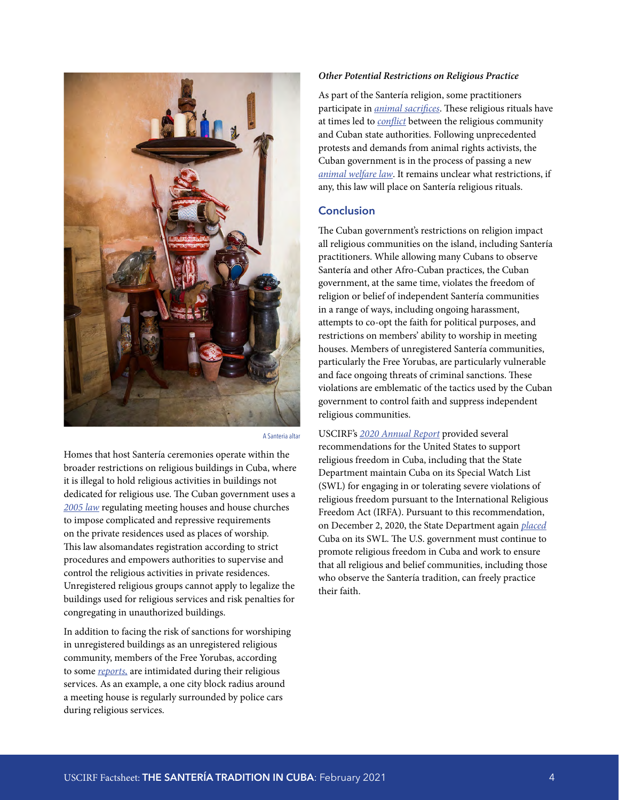

A Santeria altar

Homes that host Santería ceremonies operate within the broader restrictions on religious buildings in Cuba, where it is illegal to hold religious activities in buildings not dedicated for religious use. The Cuban government uses a *[2005 law](https://www.state.gov/reports/2019-report-on-international-religious-freedom/cuba/)* regulating meeting houses and house churches to impose complicated and repressive requirements on the private residences used as places of worship. This law alsomandates registration according to strict procedures and empowers authorities to supervise and control the religious activities in private residences. Unregistered religious groups cannot apply to legalize the buildings used for religious services and risk penalties for congregating in unauthorized buildings.

In addition to facing the risk of sanctions for worshiping in unregistered buildings as an unregistered religious community, members of the Free Yorubas, according to some *[reports,](https://www.globallibertyalliance.org/gla-news/cubas-religious-police-continues-harassing-and-intimidating-the-association-of-free-yorubas-of-cuba6392844)* are intimidated during their religious services. As an example, a one city block radius around a meeting house is regularly surrounded by police cars during religious services.

#### *Other Potential Restrictions on Religious Practice*

As part of the Santería religion, some practitioners participate in *[animal sacrifices](https://www.reuters.com/article/us-health-coronavirus-cuba-santería/with-bird-sacrifices-and-chants-cubas-santería-seek-protection-from-coronavirus-idUSKBN21I1IJ)*. These religious rituals have at times led to *[conflict](http://translatingcuba.com/being-a-dissident-and-a-practitioner-of-santeria-a-difficult-path/)* between the religious community and Cuban state authorities. Following unprecedented protests and demands from animal rights activists, the Cuban government is in the process of passing a new *[animal welfare law](https://timesofmalta.com/articles/view/cuban-animal-lovers-hope-new-law-changes-attitudes.826213)*. It remains unclear what restrictions, if any, this law will place on Santería religious rituals.

## **Conclusion**

The Cuban government's restrictions on religion impact all religious communities on the island, including Santería practitioners. While allowing many Cubans to observe Santería and other Afro-Cuban practices, the Cuban government, at the same time, violates the freedom of religion or belief of independent Santería communities in a range of ways, including ongoing harassment, attempts to co-opt the faith for political purposes, and restrictions on members' ability to worship in meeting houses. Members of unregistered Santería communities, particularly the Free Yorubas, are particularly vulnerable and face ongoing threats of criminal sanctions. These violations are emblematic of the tactics used by the Cuban government to control faith and suppress independent religious communities.

USCIRF's *[2020 Annual Report](https://www.uscirf.gov/sites/default/files/Cuba.pdf)* provided several recommendations for the United States to support religious freedom in Cuba, including that the State Department maintain Cuba on its Special Watch List (SWL) for engaging in or tolerating severe violations of religious freedom pursuant to the International Religious Freedom Act (IRFA). Pursuant to this recommendation, on December 2, 2020, the State Department again *[placed](https://www.state.gov/united-states-takes-action-against-violators-of-religious-freedom-2/)* Cuba on its SWL. The U.S. government must continue to promote religious freedom in Cuba and work to ensure that all religious and belief communities, including those who observe the Santería tradition, can freely practice their faith.